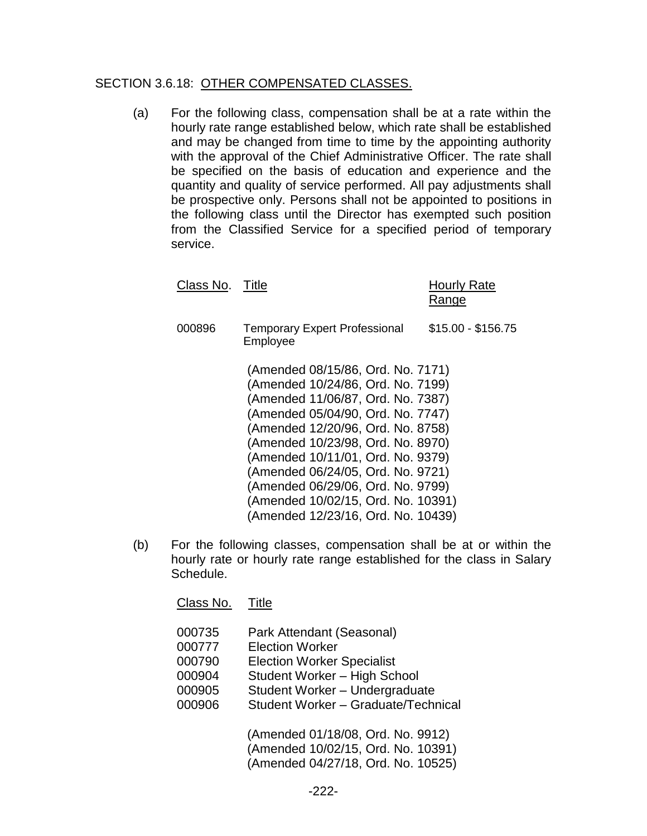## SECTION 3.6.18: OTHER COMPENSATED CLASSES.

(a) For the following class, compensation shall be at a rate within the hourly rate range established below, which rate shall be established and may be changed from time to time by the appointing authority with the approval of the Chief Administrative Officer. The rate shall be specified on the basis of education and experience and the quantity and quality of service performed. All pay adjustments shall be prospective only. Persons shall not be appointed to positions in the following class until the Director has exempted such position from the Classified Service for a specified period of temporary service.

| Class No. Title |                                                                                                                                                                                                                                                                                                                                                                                 | Hourly Rate<br>Range |
|-----------------|---------------------------------------------------------------------------------------------------------------------------------------------------------------------------------------------------------------------------------------------------------------------------------------------------------------------------------------------------------------------------------|----------------------|
| 000896          | <b>Temporary Expert Professional</b><br>Employee                                                                                                                                                                                                                                                                                                                                | $$15.00 - $156.75$   |
|                 | (Amended 08/15/86, Ord. No. 7171)<br>(Amended 10/24/86, Ord. No. 7199)<br>(Amended 11/06/87, Ord. No. 7387)<br>(Amended 05/04/90, Ord. No. 7747)<br>(Amended 12/20/96, Ord. No. 8758)<br>(Amended 10/23/98, Ord. No. 8970)<br>(Amended 10/11/01, Ord. No. 9379)<br>(Amended 06/24/05, Ord. No. 9721)<br>(Amended 06/29/06, Ord. No. 9799)<br>(Amended 10/02/15, Ord. No. 10391) |                      |
|                 | (Amended 12/23/16, Ord. No. 10439)                                                                                                                                                                                                                                                                                                                                              |                      |

(b) For the following classes, compensation shall be at or within the hourly rate or hourly rate range established for the class in Salary Schedule.

Class No. Title

| 000735 | Park Attendant (Seasonal)           |
|--------|-------------------------------------|
| 000777 | <b>Election Worker</b>              |
| 000790 | <b>Election Worker Specialist</b>   |
| 000904 | Student Worker - High School        |
| 000905 | Student Worker - Undergraduate      |
| 000906 | Student Worker - Graduate/Technical |
|        |                                     |

(Amended 01/18/08, Ord. No. 9912) (Amended 10/02/15, Ord. No. 10391) (Amended 04/27/18, Ord. No. 10525)